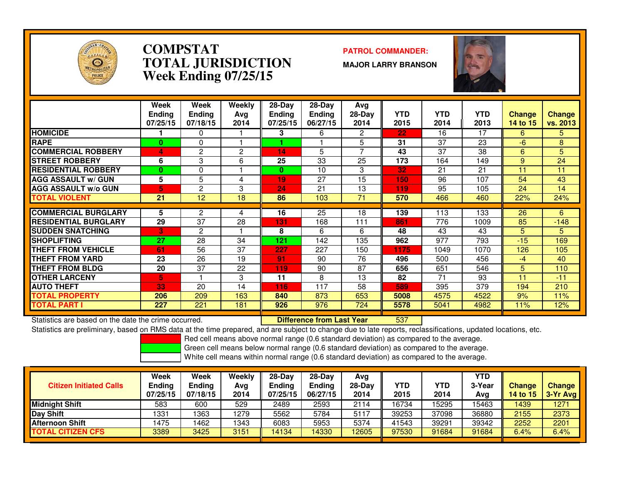

### **COMPSTAT PATROL COMMANDER: TOTAL JURISDICTIONWeek Ending 07/25/15**

**MAJOR LARRY BRANSON**



|                             | Week<br><b>Ending</b> | Week<br><b>Endina</b> | Weekly<br>Ava | $28$ -Day<br><b>Ending</b> | $28-Day$<br><b>Ending</b> | Avg<br>$28-Day$ | <b>YTD</b> | <b>YTD</b> | <b>YTD</b> | <b>Change</b> | <b>Change</b> |
|-----------------------------|-----------------------|-----------------------|---------------|----------------------------|---------------------------|-----------------|------------|------------|------------|---------------|---------------|
|                             | 07/25/15              | 07/18/15              | 2014          | 07/25/15                   | 06/27/15                  | 2014            | 2015       | 2014       | 2013       | 14 to 15      | vs. 2013      |
| <b>HOMICIDE</b>             |                       | 0                     |               | 3                          | 6                         | 2               | 22         | 16         | 17         | 6             | 5.            |
| <b>RAPE</b>                 | $\bf{0}$              | 0                     |               |                            |                           | 5.              | 31         | 37         | 23         | $-6$          | 8             |
| <b>COMMERCIAL ROBBERY</b>   | 4                     | 2                     | 2             | 14                         | 5                         | 7               | 43         | 37         | 38         | 6             | 5             |
| <b>STREET ROBBERY</b>       | 6                     | 3                     | 6             | 25                         | 33                        | 25              | 173        | 164        | 149        | 9             | 24            |
| <b>RESIDENTIAL ROBBERY</b>  | $\bf{0}$              | 0                     |               | 0                          | 10                        | 3               | 32         | 21         | 21         | 11            | 11            |
| <b>AGG ASSAULT w/ GUN</b>   | 5                     | 5                     | 4             | 19                         | 27                        | 15              | 150        | 96         | 107        | 54            | 43            |
| <b>AGG ASSAULT w/o GUN</b>  | 5                     | 2                     | 3             | 24                         | 21                        | 13              | 119        | 95         | 105        | 24            | 14            |
| TOTAL VIOLENT               | 21                    | 12                    | 18            | 86                         | 103                       | 71              | 570        | 466        | 460        | 22%           | 24%           |
|                             |                       |                       |               |                            |                           |                 |            |            |            |               |               |
| <b>COMMERCIAL BURGLARY</b>  | 5                     | 2                     | 4             | 16                         | 25                        | 18              | 139        | 113        | 133        | 26            | 6             |
| <b>RESIDENTIAL BURGLARY</b> | 29                    | 37                    | 28            | 131                        | 168                       | 111             | 861        | 776        | 1009       | 85            | $-148$        |
| <b>SUDDEN SNATCHING</b>     | 3                     | 2                     |               | 8                          | 6                         | 6               | 48         | 43         | 43         | 5.            | 5.            |
| <b>SHOPLIFTING</b>          | 27                    | 28                    | 34            | 121                        | 142                       | 135             | 962        | 977        | 793        | $-15$         | 169           |
| THEFT FROM VEHICLE          | 61                    | 56                    | 37            | 227                        | 227                       | 150             | 1175       | 1049       | 1070       | 126           | 105           |
| <b>THEFT FROM YARD</b>      | 23                    | 26                    | 19            | 91                         | 90                        | 76              | 496        | 500        | 456        | $-4$          | 40            |
| <b>THEFT FROM BLDG</b>      | 20                    | 37                    | 22            | 119                        | 90                        | 87              | 656        | 651        | 546        | 5             | 110           |
| <b>OTHER LARCENY</b>        | 5                     |                       | 3             | 11                         | 8                         | 13              | 82         | 71         | 93         | 11            | $-11$         |
| <b>AUTO THEFT</b>           | 33                    | 20                    | 14            | 116                        | 117                       | 58              | 589        | 395        | 379        | 194           | 210           |
| TOTAL PROPERTY              | 206                   | 209                   | 163           | 840                        | 873                       | 653             | 5008       | 4575       | 4522       | 9%            | 11%           |
| TOTAL PART I                | 227                   | 221                   | 181           | 926                        | 976                       | 724             | 5578       | 5041       | 4982       | 11%           | 12%           |

Statistics are based on the date the crime occurred. **Difference from Last Year** 

<sup>537</sup>

 Statistics are preliminary, based on RMS data at the time prepared, and are subject to change due to late reports, reclassifications, updated locations, etc.Red cell means above normal range (0.6 standard deviation) as compared to the average.

Green cell means below normal range (0.6 standard deviation) as compared to the average.

| <b>Citizen Initiated Calls</b> | Week<br>Ending<br>07/25/15 | Week<br><b>Ending</b><br>07/18/15 | Weekly<br>Ava<br>2014 | 28-Dav<br><b>Endina</b><br>07/25/15 | $28-Day$<br><b>Ending</b><br>06/27/15 | Avg<br>$28-Day$<br>2014 | YTD<br>2015 | <b>YTD</b><br>2014 | YTD<br>3-Year<br>Avg | <b>Change</b><br><b>14 to 15</b> | <b>Change</b><br>$3-Yr$ Avg |
|--------------------------------|----------------------------|-----------------------------------|-----------------------|-------------------------------------|---------------------------------------|-------------------------|-------------|--------------------|----------------------|----------------------------------|-----------------------------|
| <b>Midnight Shift</b>          | 583                        | 600                               | 529                   | 2489                                | 2593                                  | 2114                    | 16734       | 15295              | 15463                | 1439                             | 1271                        |
| Day Shift                      | 1331                       | 1363                              | 1279                  | 5562                                | 5784                                  | 5117                    | 39253       | 37098              | 36880                | 2155                             | 2373                        |
| <b>Afternoon Shift</b>         | 475                        | 462                               | 1343                  | 6083                                | 5953                                  | 5374                    | 41543       | 39291              | 39342                | 2252                             | 2201                        |
| <b>TOTAL CITIZEN CFS</b>       | 3389                       | 3425                              | 3151                  | 14134                               | 4330                                  | 12605                   | 97530       | 91684              | 91684                | 6.4%                             | 6.4%                        |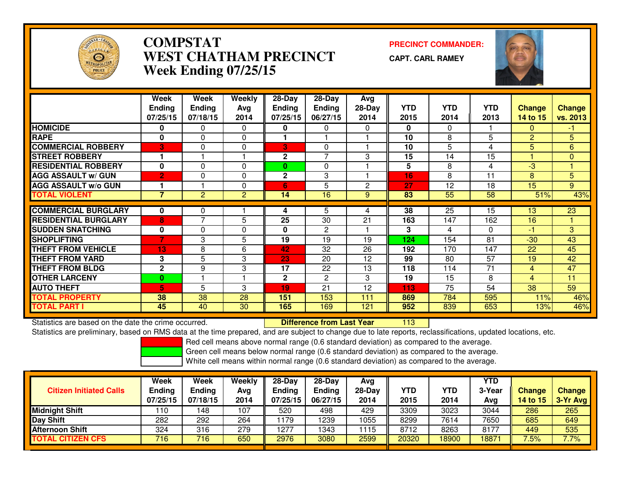

# **COMPSTAT PRECINCT COMMANDER: WEST CHATHAM PRECINCTWeek Ending 07/25/15**

**CAPT. CARL RAMEY**



|                             | Week           | Week           | Weekly         | 28-Day       | $28$ -Day      | Avg          |            |            |            |                |                 |
|-----------------------------|----------------|----------------|----------------|--------------|----------------|--------------|------------|------------|------------|----------------|-----------------|
|                             | <b>Endina</b>  | <b>Ending</b>  | Ava            | Endina       | <b>Ending</b>  | $28-Day$     | <b>YTD</b> | <b>YTD</b> | <b>YTD</b> | <b>Change</b>  | <b>Change</b>   |
|                             | 07/25/15       | 07/18/15       | 2014           | 07/25/15     | 06/27/15       | 2014         | 2015       | 2014       | 2013       | 14 to 15       | vs. 2013        |
| <b>HOMICIDE</b>             | 0              | 0              | 0              | 0            | $\Omega$       | 0            | 0          | $\Omega$   |            | $\Omega$       | $-1$            |
| <b>RAPE</b>                 | 0              | 0              | 0              |              |                |              | 10         | 8          | 5          | $\overline{2}$ | 5               |
| <b>COMMERCIAL ROBBERY</b>   | 3              | 0              | 0              | 3            | $\Omega$       |              | 10         | 5          | 4          | 5              | 6               |
| <b>STREET ROBBERY</b>       | 1              |                |                | 2            | $\overline{z}$ | 3            | 15         | 14         | 15         |                | $\mathbf{0}$    |
| <b>RESIDENTIAL ROBBERY</b>  | 0              | 0              | $\Omega$       | 0            | $\Omega$       |              | 5          | 8          | 4          | $-3$           |                 |
| <b>AGG ASSAULT w/ GUN</b>   | $\overline{2}$ | 0              | $\Omega$       | $\mathbf{2}$ | 3              |              | 16         | 8          | 11         | 8              | 5               |
| <b>AGG ASSAULT w/o GUN</b>  | 1              |                | $\mathbf{0}$   | 6            | 5              | $\mathbf{2}$ | 27         | 12         | 18         | 15             | 9               |
| <b>TOTAL VIOLENT</b>        | 7              | $\overline{c}$ | $\overline{c}$ | 14           | 16             | 9            | 83         | 55         | 58         | 51%            | 43%             |
|                             |                |                |                |              |                |              |            |            |            |                |                 |
| <b>COMMERCIAL BURGLARY</b>  | 0              | 0              |                | 4            | 5              | 4            | 38         | 25         | 15         | 13             | $\overline{23}$ |
| <b>RESIDENTIAL BURGLARY</b> | 8              | 7              | 5              | 25           | 30             | 21           | 163        | 147        | 162        | 16             |                 |
| <b>SUDDEN SNATCHING</b>     | 0              | 0              | 0              | 0            | $\overline{2}$ |              | 3          | 4          | $\Omega$   | -1             | 3               |
| <b>SHOPLIFTING</b>          |                | 3              | 5              | 19           | 19             | 19           | 124        | 154        | 81         | $-30$          | 43              |
| <b>THEFT FROM VEHICLE</b>   | 13             | 8              | 6              | 42           | 32             | 26           | 192        | 170        | 147        | 22             | 45              |
| <b>THEFT FROM YARD</b>      | 3              | 5              | 3              | 23           | 20             | 12           | 99         | 80         | 57         | 19             | 42              |
| <b>THEFT FROM BLDG</b>      | $\mathbf{2}$   | 9              | 3              | 17           | 22             | 13           | 118        | 114        | 71         | 4              | 47              |
| <b>OTHER LARCENY</b>        | 0              |                |                | 2            | $\overline{2}$ | 3            | 19         | 15         | 8          | 4              | 11              |
| <b>AUTO THEFT</b>           | 5              | 5              | 3              | 19           | 21             | 12           | 113        | 75         | 54         | 38             | 59              |
| <b>TOTAL PROPERTY</b>       | 38             | 38             | 28             | 151          | 153            | 111          | 869        | 784        | 595        | 11%            | 46%             |
| <b>TOTAL PART I</b>         | 45             | 40             | 30             | 165          | 169            | 121          | 952        | 839        | 653        | 13%            | 46%             |

Statistics are based on the date the crime occurred. **Difference from Last Year** 

<sup>113</sup>

Statistics are preliminary, based on RMS data at the time prepared, and are subject to change due to late reports, reclassifications, updated locations, etc.

Red cell means above normal range (0.6 standard deviation) as compared to the average.

Green cell means below normal range (0.6 standard deviation) as compared to the average.

| <b>Citizen Initiated Calls</b> | Week<br><b>Ending</b><br>07/25/15 | Week<br><b>Ending</b><br>07/18/15 | Weekly<br>Avg<br>2014 | $28-Dav$<br><b>Ending</b><br>07/25/15 | $28-Dav$<br><b>Ending</b><br>06/27/15 | Avg<br>$28-Day$<br>2014 | YTD<br>2015 | YTD<br>2014 | YTD<br>3-Year<br>Avg | <b>Change</b><br>14 to 15 | <b>Change</b><br>3-Yr Avg |
|--------------------------------|-----------------------------------|-----------------------------------|-----------------------|---------------------------------------|---------------------------------------|-------------------------|-------------|-------------|----------------------|---------------------------|---------------------------|
| <b>Midnight Shift</b>          | 110                               | 148                               | 107                   | 520                                   | 498                                   | 429                     | 3309        | 3023        | 3044                 | 286                       | 265                       |
| <b>Day Shift</b>               | 282                               | 292                               | 264                   | 1179                                  | 239                                   | 1055                    | 8299        | 7614        | 7650                 | 685                       | 649                       |
| <b>Afternoon Shift</b>         | 324                               | 316                               | 279                   | 1277                                  | 343                                   | 1115                    | 8712        | 8263        | 8177                 | 449                       | 535                       |
| <b>TOTAL CITIZEN CFS</b>       | 716                               | 716                               | 650                   | 2976                                  | 3080                                  | 2599                    | 20320       | 8900        | 18871                | 7.5%                      | 7.7%                      |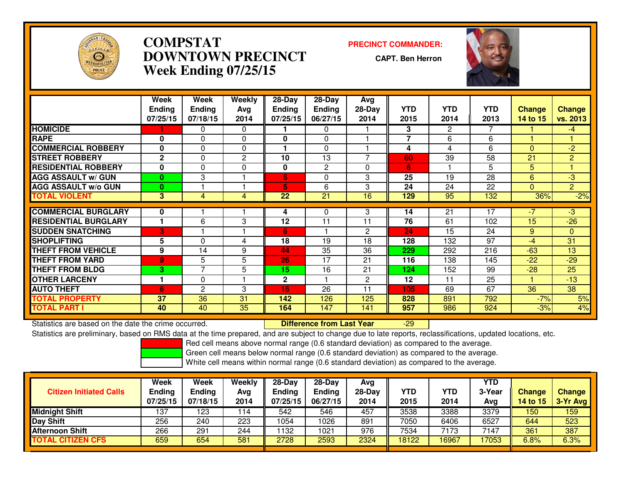

# **COMPSTAT PRECINCT COMMANDER: DOWNTOWN PRECINCTWeek Ending 07/25/15**

**CAPT. Ben Herron**

-29



|                             | Week<br><b>Ending</b> | Week<br><b>Ending</b>         | <b>Weekly</b><br>Avg | $28-Day$<br><b>Ending</b> | $28-Day$<br><b>Ending</b> | Avg<br>$28-Day$          | <b>YTD</b>     | <b>YTD</b>     | <b>YTD</b> | <b>Change</b> | <b>Change</b>  |
|-----------------------------|-----------------------|-------------------------------|----------------------|---------------------------|---------------------------|--------------------------|----------------|----------------|------------|---------------|----------------|
|                             | 07/25/15              | 07/18/15                      | 2014                 | 07/25/15                  | 06/27/15                  | 2014                     | 2015           | 2014           | 2013       | 14 to 15      | vs. 2013       |
| <b>HOMICIDE</b>             |                       | 0                             | $\Omega$             |                           | 0                         |                          | 3              | $\overline{2}$ |            |               | $-4$           |
| <b>RAPE</b>                 | 0                     | $\Omega$                      | $\mathbf{0}$         | $\mathbf{0}$              | $\Omega$                  |                          | $\overline{7}$ | 6              | 6          |               |                |
| <b>COMMERCIAL ROBBERY</b>   | $\bf{0}$              | $\Omega$                      | $\Omega$             |                           | $\Omega$                  |                          | 4              | 4              | 6          | $\Omega$      | $-2$           |
| <b>STREET ROBBERY</b>       | $\mathbf{2}$          | 0                             | 2                    | 10                        | 13                        | $\overline{\phantom{0}}$ | 60             | 39             | 58         | 21            | $\overline{2}$ |
| <b>RESIDENTIAL ROBBERY</b>  | $\bf{0}$              | 0                             | 0                    | 0                         | $\overline{2}$            | $\Omega$                 | 6              |                | 5          | 5.            |                |
| <b>AGG ASSAULT w/ GUN</b>   | $\bf{0}$              | 3                             |                      | 5                         | 0                         | 3                        | 25             | 19             | 28         | 6             | $-3$           |
| <b>AGG ASSAULT w/o GUN</b>  | $\bf{0}$              |                               |                      | 5                         | 6                         | 3                        | 24             | 24             | 22         | $\Omega$      | $\overline{2}$ |
| <b>TOTAL VIOLENT</b>        | $\overline{3}$        | 4                             | 4                    | $\overline{22}$           | $\overline{21}$           | 16                       | 129            | 95             | 132        | 36%           | $-2%$          |
| <b>COMMERCIAL BURGLARY</b>  | 0                     |                               |                      | 4                         | 0                         | 3                        | 14             | 21             | 17         | -7            | $-3$           |
| <b>RESIDENTIAL BURGLARY</b> |                       | 6                             | 3                    | 12                        | 11                        | 11                       | 76             | 61             | 102        | 15            | $-26$          |
| <b>SUDDEN SNATCHING</b>     | 3                     |                               |                      | 6                         |                           | $\mathbf{2}$             | 24             | 15             | 24         | 9             | $\overline{0}$ |
| <b>SHOPLIFTING</b>          | 5                     | 0                             | 4                    | 18                        | 19                        | 18                       | 128            | 132            | 97         | $-4$          | 31             |
| <b>THEFT FROM VEHICLE</b>   | 9                     | 14                            |                      | 44                        | 35                        |                          |                |                |            | $-63$         | 13             |
|                             |                       |                               | 9                    |                           |                           | 36                       | 229            | 292            | 216        |               |                |
| <b>THEFT FROM YARD</b>      | $\overline{9}$        | 5<br>$\overline{\phantom{a}}$ | 5                    | 26                        | 17                        | 21                       | 116            | 138            | 145        | $-22$         | $-29$          |
| <b>THEFT FROM BLDG</b>      | 3                     |                               | 5                    | 15                        | 16                        | 21                       | 124            | 152            | 99         | $-28$         | 25             |
| <b>OTHER LARCENY</b>        | 1                     | 0                             |                      | $\mathbf 2$               |                           | $\mathbf{2}$             | 12             | 11             | 25         |               | $-13$          |
| <b>AUTO THEFT</b>           | 6                     | $\overline{c}$                | 3                    | 15                        | 26                        | 11                       | 105            | 69             | 67         | 36            | 38             |
| <b>TOTAL PROPERTY</b>       | 37                    | 36                            | 31                   | 142                       | 126                       | 125                      | 828            | 891            | 792        | $-7%$         | 5%             |
| <b>TOTAL PART I</b>         | 40                    | 40                            | 35                   | 164                       | 147                       | 141                      | 957            | 986            | 924        | $-3%$         | 4%             |

Statistics are based on the date the crime occurred. **Difference from Last Year** 

Statistics are preliminary, based on RMS data at the time prepared, and are subject to change due to late reports, reclassifications, updated locations, etc.

Red cell means above normal range (0.6 standard deviation) as compared to the average.

Green cell means below normal range (0.6 standard deviation) as compared to the average.

| <b>Citizen Initiated Calls</b> | Week<br><b>Ending</b><br>07/25/15 | Week<br><b>Ending</b><br>07/18/15 | Weekly<br>Avg<br>2014 | $28-Dav$<br>Ending<br>07/25/15 | $28-Dav$<br><b>Ending</b><br>06/27/15 | Avg<br>$28-Day$<br>2014 | YTD<br>2015 | <b>YTD</b><br>2014 | YTD<br>3-Year<br>Avg | <b>Change</b><br><b>14 to 15</b> | <b>Change</b><br>$3-Yr$ Avg |
|--------------------------------|-----------------------------------|-----------------------------------|-----------------------|--------------------------------|---------------------------------------|-------------------------|-------------|--------------------|----------------------|----------------------------------|-----------------------------|
| <b>Midnight Shift</b>          | 137                               | 123                               | 114                   | 542                            | 546                                   | 457                     | 3538        | 3388               | 3379                 | 150                              | 159                         |
| <b>Day Shift</b>               | 256                               | 240                               | 223                   | 054                            | 1026                                  | 891                     | 7050        | 6406               | 6527                 | 644                              | 523                         |
| <b>Afternoon Shift</b>         | 266                               | 291                               | 244                   | 132                            | 1021                                  | 976                     | 7534        | 7173               | 7147                 | 361                              | 387                         |
| <b>TOTAL CITIZEN CFS</b>       | 659                               | 654                               | 581                   | 2728                           | 2593                                  | 2324                    | 18122       | 6967               | 17053                | 6.8%                             | 6.3%                        |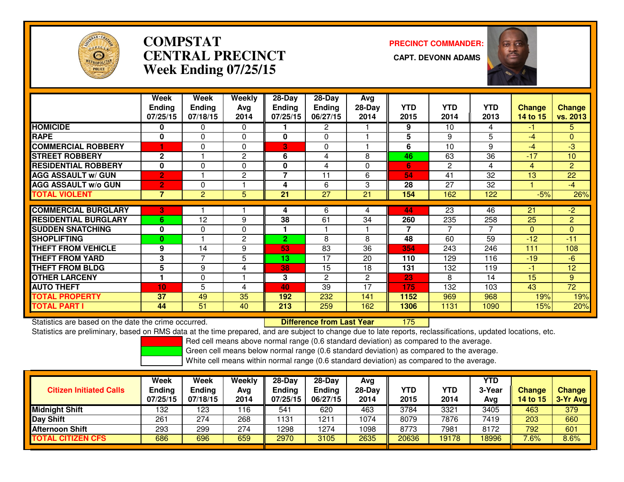

# **COMPSTATCENTRAL PRECINCT Week Ending 07/25/15**

**PRECINCT COMMANDER:**



|                             | Week<br><b>Ending</b><br>07/25/15 | Week<br><b>Ending</b><br>07/18/15 | Weekly<br>Avg<br>2014 | $28-Day$<br>Ending<br>07/25/15 | $28-Day$<br><b>Ending</b><br>06/27/15 | Avg<br>28-Day<br>2014 | <b>YTD</b><br>2015 | <b>YTD</b><br>2014 | <b>YTD</b><br>2013 | <b>Change</b><br>14 to 15 | <b>Change</b><br>vs. 2013 |
|-----------------------------|-----------------------------------|-----------------------------------|-----------------------|--------------------------------|---------------------------------------|-----------------------|--------------------|--------------------|--------------------|---------------------------|---------------------------|
| <b>HOMICIDE</b>             | 0                                 | 0                                 | $\Omega$              |                                | 2                                     |                       | 9                  | 10                 | 4                  | $-1$                      | 5.                        |
| <b>RAPE</b>                 | $\bf{0}$                          | 0                                 | $\mathbf{0}$          | $\bf{0}$                       | $\Omega$                              |                       | 5                  | 9                  | 5                  | $-4$                      | $\Omega$                  |
| <b>COMMERCIAL ROBBERY</b>   |                                   | 0                                 | $\mathbf{0}$          | 3                              | $\mathbf 0$                           |                       | 6                  | 10                 | 9                  | $-4$                      | $-3$                      |
| <b>STREET ROBBERY</b>       | $\mathbf 2$                       |                                   | 2                     | 6                              | 4                                     | 8                     | 46                 | 63                 | 36                 | $-17$                     | 10                        |
| <b>RESIDENTIAL ROBBERY</b>  | $\bf{0}$                          | 0                                 | $\Omega$              | 0                              | 4                                     | $\Omega$              | 6                  | $\mathbf{2}$       | 4                  | 4                         | $\overline{2}$            |
| <b>AGG ASSAULT w/ GUN</b>   | $\overline{2}$                    |                                   | 2                     | 7                              | 11                                    | 6                     | 54                 | 41                 | 32                 | 13                        | 22                        |
| <b>AGG ASSAULT w/o GUN</b>  | 2                                 | 0                                 |                       | 4                              | 6                                     | 3                     | 28                 | 27                 | 32                 |                           | $-4$                      |
| <b>TOTAL VIOLENT</b>        | $\overline{7}$                    | $\overline{c}$                    | 5                     | 21                             | $\overline{27}$                       | 21                    | 154                | 162                | 122                | $-5%$                     | 26%                       |
|                             |                                   |                                   |                       |                                |                                       |                       |                    |                    |                    |                           |                           |
| <b>COMMERCIAL BURGLARY</b>  | 3                                 |                                   |                       | 4                              | 6                                     | 4                     | 44                 | 23                 | 46                 | 21                        | $-2$                      |
| <b>RESIDENTIAL BURGLARY</b> | 6                                 | 12                                | 9                     | 38                             | 61                                    | 34                    | 260                | 235                | 258                | 25                        | $\overline{2}$            |
| <b>SUDDEN SNATCHING</b>     | $\bf{0}$                          | 0                                 | $\Omega$              |                                |                                       |                       | $\overline{7}$     | 7                  | 7                  | $\Omega$                  | $\Omega$                  |
| <b>SHOPLIFTING</b>          | $\bf{0}$                          |                                   | $\overline{2}$        | $\overline{2}$                 | 8                                     | 8                     | 48                 | 60                 | 59                 | $-12$                     | $-11$                     |
| <b>THEFT FROM VEHICLE</b>   | 9                                 | 14                                | 9                     | 53                             | 83                                    | 36                    | 354                | 243                | 246                | 111                       | 108                       |
| <b>THEFT FROM YARD</b>      | 3                                 | 7                                 | 5                     | 13                             | 17                                    | 20                    | 110                | 129                | 116                | $-19$                     | $-6$                      |
| <b>THEFT FROM BLDG</b>      | 5                                 | 9                                 | 4                     | 38                             | 15                                    | 18                    | 131                | 132                | 119                | -1                        | 12                        |
| <b>OTHER LARCENY</b>        | 1                                 | 0                                 |                       | 3                              | $\overline{2}$                        | $\overline{2}$        | 23                 | 8                  | 14                 | 15                        | 9                         |
| <b>AUTO THEFT</b>           | 10                                | 5                                 | 4                     | 40                             | 39                                    | 17                    | 175                | 132                | 103                | 43                        | 72                        |
| <b>TOTAL PROPERTY</b>       | 37                                | 49                                | 35                    | 192                            | 232                                   | 141                   | 1152               | 969                | 968                | 19%                       | 19%                       |
| TOTAL PART I                | 44                                | 51                                | 40                    | 213                            | 259                                   | 162                   | 1306               | 1131               | 1090               | 15%                       | 20%                       |

Statistics are based on the date the crime occurred. **Difference from Last Year** 

<sup>175</sup>

Statistics are preliminary, based on RMS data at the time prepared, and are subject to change due to late reports, reclassifications, updated locations, etc.

Red cell means above normal range (0.6 standard deviation) as compared to the average.

Green cell means below normal range (0.6 standard deviation) as compared to the average.

| <b>Citizen Initiated Calls</b> | Week<br><b>Ending</b><br>07/25/15 | <b>Week</b><br><b>Ending</b><br>07/18/15 | Weekly<br>Avg<br>2014 | $28-Day$<br><b>Ending</b><br>07/25/15 | $28-Day$<br><b>Ending</b><br>06/27/15 | Avg<br>$28-Day$<br>2014 | YTD<br>2015 | YTD<br>2014 | YTD<br>3-Year<br>Avg | <b>Change</b><br><b>14 to 15</b> | <b>Change</b><br>3-Yr Avg |
|--------------------------------|-----------------------------------|------------------------------------------|-----------------------|---------------------------------------|---------------------------------------|-------------------------|-------------|-------------|----------------------|----------------------------------|---------------------------|
| <b>Midnight Shift</b>          | 132                               | 123                                      | 116                   | 541                                   | 620                                   | 463                     | 3784        | 3321        | 3405                 | 463                              | 379                       |
| Day Shift                      | 261                               | 274                                      | 268                   | 1131                                  | 1211                                  | 1074                    | 8079        | 7876        | 7419                 | 203                              | 660                       |
| <b>Afternoon Shift</b>         | 293                               | 299                                      | 274                   | 1298                                  | 1274                                  | 1098                    | 8773        | 7981        | 8172                 | 792                              | 601                       |
| <b>TOTAL CITIZEN CFS</b>       | 686                               | 696                                      | 659                   | 2970                                  | 3105                                  | 2635                    | 20636       | 19178       | 18996                | $7.6\%$                          | $8.6\%$                   |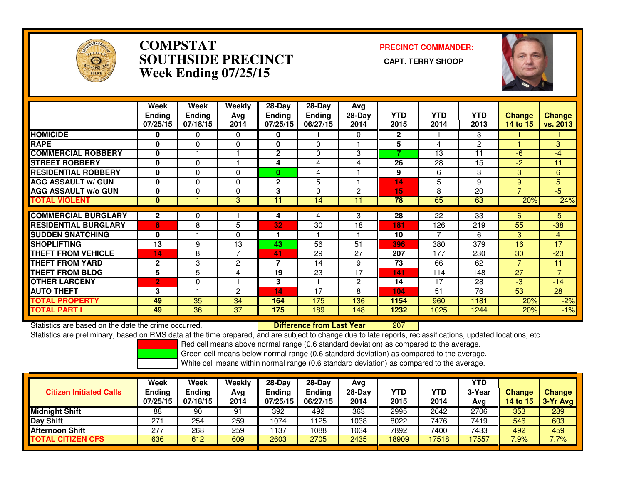

### **COMPSTAT PRECINCT COMMANDER: SOUTHSIDE PRECINCT CAPT. TERRY SHOOPWeek Ending 07/25/15**



|                             | Week<br><b>Ending</b><br>07/25/15 | Week<br><b>Ending</b><br>07/18/15 | Weekly<br>Ava<br>2014 | $28-Day$<br><b>Ending</b><br>07/25/15 | $28$ -Day<br><b>Ending</b><br>06/27/15 | Avg<br>$28-Day$<br>2014 | <b>YTD</b><br>2015       | <b>YTD</b><br>2014 | <b>YTD</b><br>2013 | <b>Change</b><br>14 to 15 | Change<br>vs. 2013 |
|-----------------------------|-----------------------------------|-----------------------------------|-----------------------|---------------------------------------|----------------------------------------|-------------------------|--------------------------|--------------------|--------------------|---------------------------|--------------------|
| <b>HOMICIDE</b>             | 0                                 | 0                                 | $\Omega$              | 0                                     |                                        | 0                       | $\mathbf{2}$             |                    | 3                  |                           | -1                 |
| <b>RAPE</b>                 | $\bf{0}$                          | $\Omega$                          | $\Omega$              | 0                                     | 0                                      |                         | 5                        | 4                  | $\overline{c}$     |                           | 3                  |
| <b>COMMERCIAL ROBBERY</b>   | $\bf{0}$                          |                                   |                       | $\mathbf{2}$                          | $\Omega$                               | 3                       | $\overline{\phantom{a}}$ | 13                 | 11                 | $-6$                      | $-4$               |
| <b>STREET ROBBERY</b>       | $\bf{0}$                          | $\Omega$                          |                       | 4                                     | 4                                      | 4                       | 26                       | 28                 | 15                 | $-2$                      | 11                 |
| <b>RESIDENTIAL ROBBERY</b>  | $\mathbf{0}$                      | 0                                 | $\Omega$              | 0                                     | 4                                      |                         | 9                        | 6                  | 3                  | 3                         | 6                  |
| <b>AGG ASSAULT w/ GUN</b>   | $\bf{0}$                          | 0                                 | 0                     | $\mathbf{2}$                          | 5                                      |                         | 14                       | 5                  | 9                  | 9                         | 5                  |
| <b>AGG ASSAULT w/o GUN</b>  | $\bf{0}$                          | 0                                 | 0                     | 3                                     | 0                                      | 2                       | 15                       | 8                  | 20                 | 7                         | $\overline{5}$     |
| <b>TOTAL VIOLENT</b>        | $\mathbf{0}$                      |                                   | 3                     | 11                                    | 14                                     | 11                      | 78                       | 65                 | 63                 | 20%                       | 24%                |
|                             |                                   |                                   |                       |                                       |                                        |                         |                          |                    |                    |                           |                    |
| <b>COMMERCIAL BURGLARY</b>  | $\mathbf{2}$                      | 0                                 |                       | 4                                     | 4                                      | 3                       | 28                       | 22                 | 33                 | 6                         | $-5$               |
| <b>RESIDENTIAL BURGLARY</b> | 8                                 | 8                                 | 5                     | 32                                    | 30                                     | 18                      | 181                      | 126                | 219                | 55                        | $-38$              |
| <b>SUDDEN SNATCHING</b>     | $\mathbf{0}$                      |                                   | $\Omega$              |                                       |                                        |                         | 10                       | ⇁                  | 6                  | 3                         | 4                  |
| <b>SHOPLIFTING</b>          | 13                                | 9                                 | 13                    | 43                                    | 56                                     | 51                      | 396                      | 380                | 379                | 16                        | 17                 |
| <b>THEFT FROM VEHICLE</b>   | 14                                | 8                                 | 7                     | 41                                    | 29                                     | 27                      | 207                      | 177                | 230                | 30                        | $-23$              |
| <b>THEFT FROM YARD</b>      | $\mathbf{2}$                      | 3                                 | 2                     | 7                                     | 14                                     | 9                       | 73                       | 66                 | 62                 | $\overline{ }$            | 11                 |
| <b>THEFT FROM BLDG</b>      | 5                                 | 5                                 | 4                     | 19                                    | $\overline{23}$                        | 17                      | 141                      | 114                | 148                | 27                        | $-7$               |
| <b>OTHER LARCENY</b>        | 2'                                | 0                                 |                       | 3                                     |                                        | 2                       | 14                       | 17                 | 28                 | $-3$                      | $-14$              |
| <b>AUTO THEFT</b>           | 3                                 |                                   | 2                     | 14                                    | 17                                     | 8                       | 104                      | 51                 | 76                 | 53                        | 28                 |
| <b>TOTAL PROPERTY</b>       | 49                                | 35                                | 34                    | 164                                   | 175                                    | 136                     | 1154                     | 960                | 1181               | 20%                       | $-2%$              |
| <b>TOTAL PART I</b>         | 49                                | 36                                | 37                    | 175                                   | 189                                    | 148                     | 1232                     | 1025               | 1244               | 20%                       | $-1%$              |

Statistics are based on the date the crime occurred. **Difference from Last Year** 

<sup>207</sup>

Statistics are preliminary, based on RMS data at the time prepared, and are subject to change due to late reports, reclassifications, updated locations, etc.

Red cell means above normal range (0.6 standard deviation) as compared to the average.

Green cell means below normal range (0.6 standard deviation) as compared to the average.

| <b>Citizen Initiated Calls</b> | <b>Week</b><br><b>Ending</b><br>07/25/15 | Week<br><b>Ending</b><br>07/18/15 | Weekly<br>Avg<br>2014 | $28-Dav$<br><b>Ending</b><br>07/25/15 | $28-Dav$<br><b>Ending</b><br>06/27/15 | Ava<br>28-Dav<br>2014 | YTD<br>2015 | YTD<br>2014 | YTD<br>3-Year<br>Ava | <b>Change</b><br><b>14 to 15</b> | <b>Change</b><br>3-Yr Avg |
|--------------------------------|------------------------------------------|-----------------------------------|-----------------------|---------------------------------------|---------------------------------------|-----------------------|-------------|-------------|----------------------|----------------------------------|---------------------------|
| <b>Midnight Shift</b>          | 88                                       | 90                                | 91                    | 392                                   | 492                                   | 363                   | 2995        | 2642        | 2706                 | 353                              | 289                       |
| <b>Day Shift</b>               | 271                                      | 254                               | 259                   | 1074                                  | ' 125                                 | 1038                  | 8022        | 7476        | 7419                 | 546                              | 603                       |
| <b>Afternoon Shift</b>         | 277                                      | 268                               | 259                   | 137                                   | 1088                                  | 1034                  | 7892        | 7400        | 7433                 | 492                              | 459                       |
| <b>TOTAL CITIZEN CFS</b>       | 636                                      | 612                               | 609                   | 2603                                  | 2705                                  | 2435                  | 18909       | 17518       | 17557                | 7.9%                             | 7.7%                      |